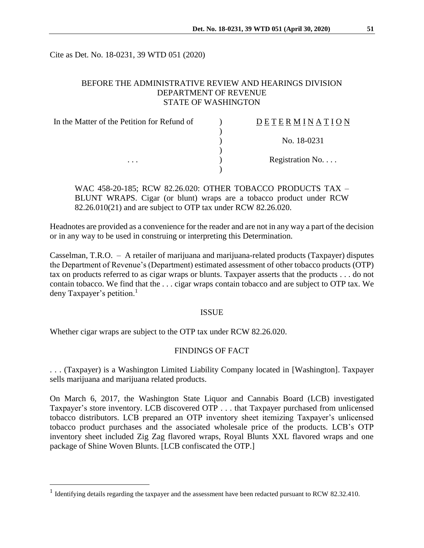Cite as Det. No. 18-0231, 39 WTD 051 (2020)

# BEFORE THE ADMINISTRATIVE REVIEW AND HEARINGS DIVISION DEPARTMENT OF REVENUE STATE OF WASHINGTON

| In the Matter of the Petition for Refund of<br>. | DETERMINATION   |
|--------------------------------------------------|-----------------|
|                                                  |                 |
|                                                  | No. 18-0231     |
|                                                  | Registration No |
|                                                  |                 |

WAC 458-20-185; RCW 82.26.020: OTHER TOBACCO PRODUCTS TAX – BLUNT WRAPS. Cigar (or blunt) wraps are a tobacco product under RCW 82.26.010(21) and are subject to OTP tax under RCW 82.26.020.

Headnotes are provided as a convenience for the reader and are not in any way a part of the decision or in any way to be used in construing or interpreting this Determination.

Casselman, T.R.O. – A retailer of marijuana and marijuana-related products (Taxpayer) disputes the Department of Revenue's (Department) estimated assessment of other tobacco products (OTP) tax on products referred to as cigar wraps or blunts. Taxpayer asserts that the products . . . do not contain tobacco. We find that the . . . cigar wraps contain tobacco and are subject to OTP tax. We deny Taxpayer's petition.<sup>1</sup>

### ISSUE

Whether cigar wraps are subject to the OTP tax under RCW 82.26.020.

 $\overline{a}$ 

## FINDINGS OF FACT

. . . (Taxpayer) is a Washington Limited Liability Company located in [Washington]. Taxpayer sells marijuana and marijuana related products.

On March 6, 2017, the Washington State Liquor and Cannabis Board (LCB) investigated Taxpayer's store inventory. LCB discovered OTP . . . that Taxpayer purchased from unlicensed tobacco distributors. LCB prepared an OTP inventory sheet itemizing Taxpayer's unlicensed tobacco product purchases and the associated wholesale price of the products. LCB's OTP inventory sheet included Zig Zag flavored wraps, Royal Blunts XXL flavored wraps and one package of Shine Woven Blunts. [LCB confiscated the OTP.]

<sup>&</sup>lt;sup>1</sup> Identifying details regarding the taxpayer and the assessment have been redacted pursuant to RCW 82.32.410.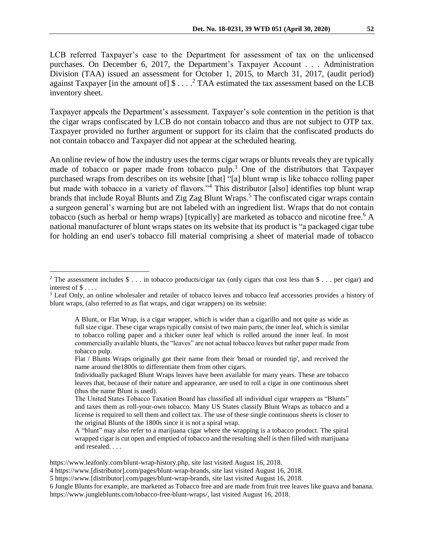LCB referred Taxpayer's case to the Department for assessment of tax on the unlicensed purchases. On December 6, 2017, the Department's Taxpayer Account . . . Administration Division (TAA) issued an assessment for October 1, 2015, to March 31, 2017, (audit period) against Taxpayer [in the amount of]  $\frac{1}{2}$ ...<sup>2</sup> TAA estimated the tax assessment based on the LCB inventory sheet.

Taxpayer appeals the Department's assessment. Taxpayer's sole contention in the petition is that the cigar wraps confiscated by LCB do not contain tobacco and thus are not subject to OTP tax. Taxpayer provided no further argument or support for its claim that the confiscated products do not contain tobacco and Taxpayer did not appear at the scheduled hearing.

An online review of how the industry uses the terms cigar wraps or blunts reveals they are typically made of tobacco or paper made from tobacco pulp.<sup>3</sup> One of the distributors that Taxpayer purchased wraps from describes on its website [that] "[a] blunt wrap is like tobacco rolling paper but made with tobacco in a variety of flavors."<sup>4</sup> This distributor [also] identifies top blunt wrap brands that include Royal Blunts and Zig Zag Blunt Wraps.<sup>5</sup> The confiscated cigar wraps contain a surgeon general's warning but are not labeled with an ingredient list. Wraps that do not contain tobacco (such as herbal or hemp wraps) [typically] are marketed as tobacco and nicotine free.<sup>6</sup> A national manufacturer of blunt wraps states on its website that its product is "a packaged cigar tube for holding an end user's tobacco fill material comprising a sheet of material made of tobacco

 $\overline{a}$ 

<sup>&</sup>lt;sup>2</sup> The assessment includes  $\$ \dots$  in tobacco products/cigar tax (only cigars that cost less than  $\$ \dots$  per cigar) and interest of \$ . . . .

<sup>3</sup> Leaf Only, an online wholesaler and retailer of tobacco leaves and tobacco leaf accessories provides a history of blunt wraps, (also referred to as flat wraps, and cigar wrappers) on its website:

A Blunt, or Flat Wrap, is a cigar wrapper, which is wider than a cigarillo and not quite as wide as full size cigar. These cigar wraps typically consist of two main parts; the inner leaf, which is similar to tobacco rolling paper and a thicker outer leaf which is rolled around the inner leaf. In most commercially available blunts, the "leaves" are not actual tobacco leaves but rather paper made from tobacco pulp.

Flat / Blunts Wraps originally got their name from their 'broad or rounded tip', and received the name around the1800s to differentiate them from other cigars.

Individually packaged Blunt Wraps leaves have been available for many years. These are tobacco leaves that, because of their nature and appearance, are used to roll a cigar in one continuous sheet (thus the name Blunt is used).

The United States Tobacco Taxation Board has classified all individual cigar wrappers as "Blunts" and taxes them as roll-your-own tobacco. Many US States classify Blunt Wraps as tobacco and a license is required to sell them and collect tax. The use of these single continuous sheets is closer to the original Blunts of the 1800s since it is not a spiral wrap.

A "blunt" may also refer to a marijuana cigar where the wrapping is a tobacco product. The spiral wrapped cigar is cut open and emptied of tobacco and the resulting shell is then filled with marijuana and resealed. . . .

https://www.leafonly.com/blunt-wrap-history.php, site last visited August 16, 2018.

<sup>4</sup> https://www.[distributor].com/pages/blunt-wrap-brands, site last visited August 16, 2018.

<sup>5</sup> https://www.[distributor].com/pages/blunt-wrap-brands, site last visited August 16, 2018.

<sup>6</sup> Jungle Blunts for example, are marketed as Tobacco free and are made from fruit tree leaves like guava and banana. https://www.jungleblunts.com/tobacco-free-blunt-wraps/, last visited August 16, 2018.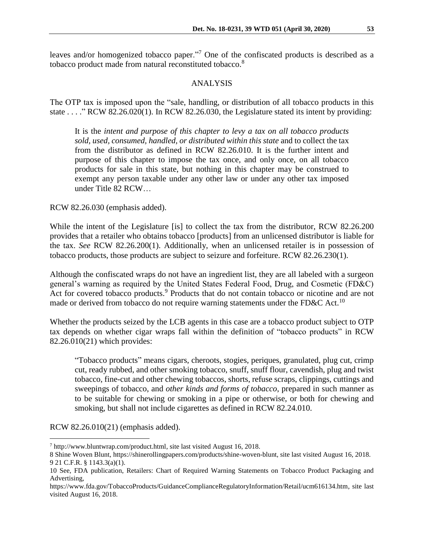leaves and/or homogenized tobacco paper."<sup>7</sup> One of the confiscated products is described as a tobacco product made from natural reconstituted tobacco.<sup>8</sup>

### ANALYSIS

The OTP tax is imposed upon the "sale, handling, or distribution of all tobacco products in this state . . . ." RCW 82.26.020(1). In RCW 82.26.030, the Legislature stated its intent by providing:

It is the *intent and purpose of this chapter to levy a tax on all tobacco products sold, used, consumed, handled, or distributed within this state* and to collect the tax from the distributor as defined in RCW 82.26.010. It is the further intent and purpose of this chapter to impose the tax once, and only once, on all tobacco products for sale in this state, but nothing in this chapter may be construed to exempt any person taxable under any other law or under any other tax imposed under Title 82 RCW…

RCW 82.26.030 (emphasis added).

While the intent of the Legislature [is] to collect the tax from the distributor, RCW 82.26.200 provides that a retailer who obtains tobacco [products] from an unlicensed distributor is liable for the tax. *See* RCW 82.26.200(1). Additionally, when an unlicensed retailer is in possession of tobacco products, those products are subject to seizure and forfeiture. RCW 82.26.230(1).

Although the confiscated wraps do not have an ingredient list, they are all labeled with a surgeon general's warning as required by the United States Federal Food, Drug, and Cosmetic (FD&C) Act for covered tobacco products.<sup>9</sup> Products that do not contain tobacco or nicotine and are not made or derived from tobacco do not require warning statements under the FD&C Act.<sup>10</sup>

Whether the products seized by the LCB agents in this case are a tobacco product subject to OTP tax depends on whether cigar wraps fall within the definition of "tobacco products" in RCW 82.26.010(21) which provides:

"Tobacco products" means cigars, cheroots, stogies, periques, granulated, plug cut, crimp cut, ready rubbed, and other smoking tobacco, snuff, snuff flour, cavendish, plug and twist tobacco, fine-cut and other chewing tobaccos, shorts, refuse scraps, clippings, cuttings and sweepings of tobacco, and *other kinds and forms of tobacco*, prepared in such manner as to be suitable for chewing or smoking in a pipe or otherwise, or both for chewing and smoking, but shall not include cigarettes as defined in RCW 82.24.010.

RCW 82.26.010(21) (emphasis added).

 $\overline{a}$ 

<sup>7</sup> http://www.bluntwrap.com/product.html, site last visited August 16, 2018.

<sup>8</sup> Shine Woven Blunt, https://shinerollingpapers.com/products/shine-woven-blunt, site last visited August 16, 2018. 9 21 C.F.R. § 1143.3(a)(1).

<sup>10</sup> See, FDA publication, Retailers: Chart of Required Warning Statements on Tobacco Product Packaging and Advertising,

https://www.fda.gov/TobaccoProducts/GuidanceComplianceRegulatoryInformation/Retail/ucm616134.htm, site last visited August 16, 2018.